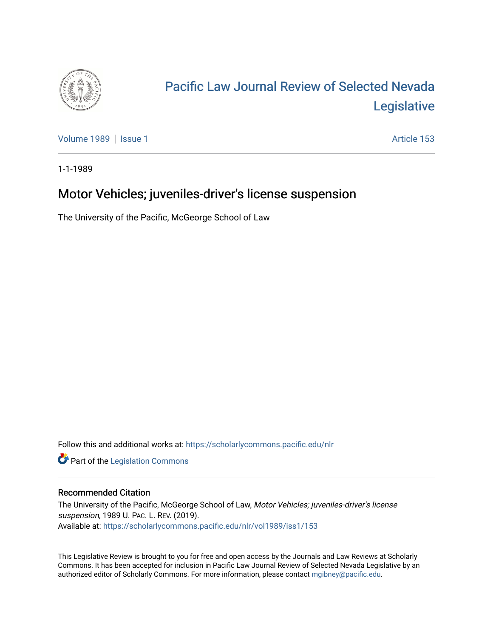

## [Pacific Law Journal Review of Selected Nevada](https://scholarlycommons.pacific.edu/nlr)  [Legislative](https://scholarlycommons.pacific.edu/nlr)

[Volume 1989](https://scholarlycommons.pacific.edu/nlr/vol1989) | [Issue 1](https://scholarlycommons.pacific.edu/nlr/vol1989/iss1) Article 153

1-1-1989

## Motor Vehicles; juveniles-driver's license suspension

The University of the Pacific, McGeorge School of Law

Follow this and additional works at: [https://scholarlycommons.pacific.edu/nlr](https://scholarlycommons.pacific.edu/nlr?utm_source=scholarlycommons.pacific.edu%2Fnlr%2Fvol1989%2Fiss1%2F153&utm_medium=PDF&utm_campaign=PDFCoverPages) 

**Part of the [Legislation Commons](http://network.bepress.com/hgg/discipline/859?utm_source=scholarlycommons.pacific.edu%2Fnlr%2Fvol1989%2Fiss1%2F153&utm_medium=PDF&utm_campaign=PDFCoverPages)** 

## Recommended Citation

The University of the Pacific, McGeorge School of Law, Motor Vehicles; juveniles-driver's license suspension, 1989 U. PAC. L. REV. (2019). Available at: [https://scholarlycommons.pacific.edu/nlr/vol1989/iss1/153](https://scholarlycommons.pacific.edu/nlr/vol1989/iss1/153?utm_source=scholarlycommons.pacific.edu%2Fnlr%2Fvol1989%2Fiss1%2F153&utm_medium=PDF&utm_campaign=PDFCoverPages) 

This Legislative Review is brought to you for free and open access by the Journals and Law Reviews at Scholarly Commons. It has been accepted for inclusion in Pacific Law Journal Review of Selected Nevada Legislative by an authorized editor of Scholarly Commons. For more information, please contact [mgibney@pacific.edu](mailto:mgibney@pacific.edu).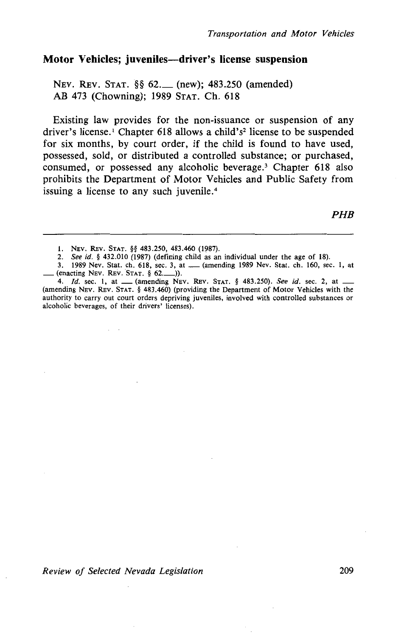## **Motor Vehicles; juveniles-driver's license suspension**

NEv. REv. STAT. §§ 62.\_ (new); 483.250 (amended) AB 473 (Chowning); 1989 STAT. Ch. 618

Existing law provides for the non-issuance or suspension of any driver's license.<sup>1</sup> Chapter 618 allows a child's<sup>2</sup> license to be suspended for six months, by court order, if the child is found to have used, possessed, sold, or distributed a controlled substance; or purchased, consumed, or possessed any alcoholic beverage.<sup>3</sup> Chapter 618 also prohibits the Department of Motor Vehicles and Public Safety from issuing a license to any such juvenile.<sup>4</sup>

*PHB* 

*Review of Selected Nevada Legislation* 209

I. NEV. REv. STAT. §§ 483.250, 483.460 (1987).

<sup>2.</sup> *See id.* § 432.010 (1987) (defining child as an individual under the age of 18).

<sup>3. 1989</sup> Nev. Stat. ch. 618, sec. 3, at ...... (amending 1989 Nev. Stat. ch. 160, sec. 1, at  $($ enacting NEV. REV. STAT. § 62. $)$ ).

<sup>4.</sup> */d.* sec. 1, at \_(amending NEv. REv. STAT. § 483.250). *See id.* sec. 2, at \_ (amending NEv. REv. STAT. § 483.460) (providing the Department of Motor Vehicles with the authority to carry out court orders depriving juveniles, involved with controlled substances or alcoholic beverages, of their drivers' licenses).